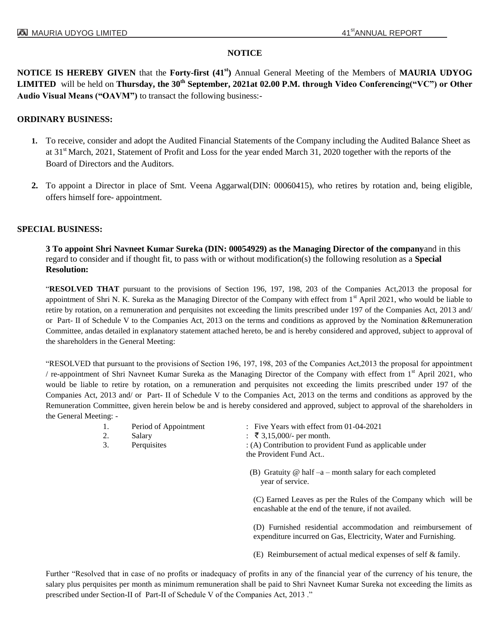# **NOTICE**

**NOTICE IS HEREBY GIVEN** that the **Forty-first (41 st)** Annual General Meeting of the Members of **MAURIA UDYOG LIMITED** will be held on **Thursday, the 30<sup>th</sup> September, 2021at 02.00 P.M. through Video Conferencing("VC") or Other Audio Visual Means ("OAVM")** to transact the following business:-

## **ORDINARY BUSINESS:**

- **1.** To receive, consider and adopt the Audited Financial Statements of the Company including the Audited Balance Sheet as at 31<sup>st</sup> March, 2021, Statement of Profit and Loss for the year ended March 31, 2020 together with the reports of the Board of Directors and the Auditors.
- **2.** To appoint a Director in place of Smt. Veena Aggarwal(DIN: 00060415), who retires by rotation and, being eligible, offers himself fore- appointment.

## **SPECIAL BUSINESS:**

**3 To appoint Shri Navneet Kumar Sureka (DIN: 00054929) as the Managing Director of the company**and in this regard to consider and if thought fit, to pass with or without modification(s) the following resolution as a **Special Resolution:**

"**RESOLVED THAT** pursuant to the provisions of Section 196, 197, 198, 203 of the Companies Act,2013 the proposal for appointment of Shri N. K. Sureka as the Managing Director of the Company with effect from 1<sup>st</sup> April 2021, who would be liable to retire by rotation, on a remuneration and perquisites not exceeding the limits prescribed under 197 of the Companies Act, 2013 and/ or Part- II of Schedule V to the Companies Act, 2013 on the terms and conditions as approved by the Nomination &Remuneration Committee, andas detailed in explanatory statement attached hereto, be and is hereby considered and approved, subject to approval of the shareholders in the General Meeting:

"RESOLVED that pursuant to the provisions of Section 196, 197, 198, 203 of the Companies Act,2013 the proposal for appointment / re-appointment of Shri Navneet Kumar Sureka as the Managing Director of the Company with effect from 1<sup>st</sup> April 2021, who would be liable to retire by rotation, on a remuneration and perquisites not exceeding the limits prescribed under 197 of the Companies Act, 2013 and/ or Part- II of Schedule V to the Companies Act, 2013 on the terms and conditions as approved by the Remuneration Committee, given herein below be and is hereby considered and approved, subject to approval of the shareholders in the General Meeting: -

- 
- 
- 
- 1. Period of Appointment : Five Years with effect from 01-04-2021
- 2. Salary :  $\bar{\xi}$  3,15,000/- per month.

3. Perquisites : (A) Contribution to provident Fund as applicable under the Provident Fund Act..

> (B) Gratuity  $@$  half  $-a$  – month salary for each completed year of service.

(C) Earned Leaves as per the Rules of the Company which will be encashable at the end of the tenure, if not availed.

(D) Furnished residential accommodation and reimbursement of expenditure incurred on Gas, Electricity, Water and Furnishing.

(E) Reimbursement of actual medical expenses of self & family.

Further "Resolved that in case of no profits or inadequacy of profits in any of the financial year of the currency of his tenure, the salary plus perquisites per month as minimum remuneration shall be paid to Shri Navneet Kumar Sureka not exceeding the limits as prescribed under Section-II of Part-II of Schedule V of the Companies Act, 2013 ."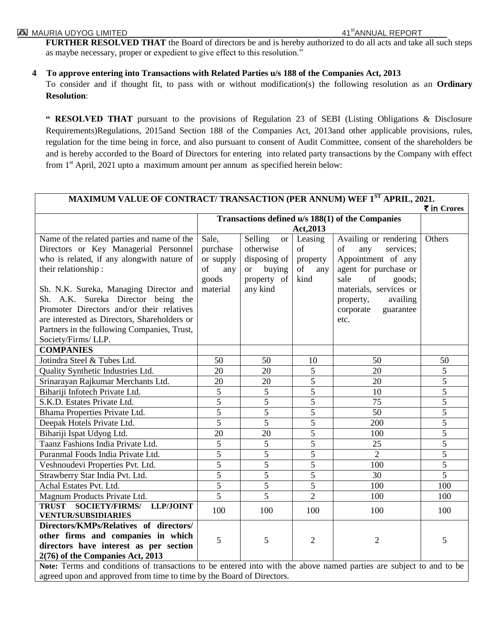**FURTHER RESOLVED THAT** the Board of directors be and is hereby authorized to do all acts and take all such steps as maybe necessary, proper or expedient to give effect to this resolution."

**4 To approve entering into Transactions with Related Parties u/s 188 of the Companies Act, 2013**

To consider and if thought fit, to pass with or without modification(s) the following resolution as an **Ordinary Resolution**:

**" RESOLVED THAT** pursuant to the provisions of Regulation 23 of SEBI (Listing Obligations & Disclosure Requirements)Regulations, 2015and Section 188 of the Companies Act, 2013and other applicable provisions, rules, regulation for the time being in force, and also pursuant to consent of Audit Committee, consent of the shareholders be and is hereby accorded to the Board of Directors for entering into related party transactions by the Company with effect from  $1<sup>st</sup>$  April, 2021 upto a maximum amount per annum as specified herein below:

| MAXIMUM VALUE OF CONTRACT/ TRANSACTION (PER ANNUM) WEF 1 <sup>ST</sup> APRIL, 2021.                                 |                |                                                  |                |                        |                |
|---------------------------------------------------------------------------------------------------------------------|----------------|--------------------------------------------------|----------------|------------------------|----------------|
|                                                                                                                     | ₹ in Crores    |                                                  |                |                        |                |
|                                                                                                                     |                | Transactions defined u/s 188(1) of the Companies |                |                        |                |
|                                                                                                                     | Act, 2013      |                                                  |                |                        |                |
| Name of the related parties and name of the                                                                         | Sale,          | Selling<br><sub>or</sub>                         | Leasing        | Availing or rendering  | Others         |
| Directors or Key Managerial Personnel                                                                               | purchase       | otherwise                                        | of             | of<br>any<br>services; |                |
| who is related, if any alongwith nature of                                                                          | or supply      | disposing of                                     | property       | Appointment of any     |                |
| their relationship:                                                                                                 | of<br>any      | or buying                                        | of<br>any      | agent for purchase or  |                |
|                                                                                                                     | goods          | property of                                      | kind           | sale<br>of<br>goods;   |                |
| Sh. N.K. Sureka, Managing Director and                                                                              | material       | any kind                                         |                | materials, services or |                |
| Sh. A.K. Sureka Director being the                                                                                  |                |                                                  |                | availing<br>property,  |                |
| Promoter Directors and/or their relatives                                                                           |                |                                                  |                | corporate<br>guarantee |                |
| are interested as Directors, Shareholders or                                                                        |                |                                                  |                | etc.                   |                |
| Partners in the following Companies, Trust,                                                                         |                |                                                  |                |                        |                |
| Society/Firms/ LLP.                                                                                                 |                |                                                  |                |                        |                |
| <b>COMPANIES</b>                                                                                                    |                |                                                  |                |                        |                |
| Jotindra Steel & Tubes Ltd.                                                                                         | 50             | 50                                               | 10             | 50                     | 50             |
| Quality Synthetic Industries Ltd.                                                                                   | 20             | 20                                               | 5              | 20                     | 5              |
| Srinarayan Rajkumar Merchants Ltd.                                                                                  | 20             | 20                                               | $\overline{5}$ | 20                     | $\overline{5}$ |
| Bihariji Infotech Private Ltd.                                                                                      | $\overline{5}$ | $\overline{5}$                                   | $\overline{5}$ | 10                     | $\overline{5}$ |
| S.K.D. Estates Private Ltd.                                                                                         | $\overline{5}$ | $\overline{5}$                                   | $\overline{5}$ | $\overline{75}$        | $\overline{5}$ |
| Bhama Properties Private Ltd.                                                                                       | 5              | $\overline{5}$                                   | $\overline{5}$ | 50                     | 5              |
| Deepak Hotels Private Ltd.                                                                                          | $\overline{5}$ | $\overline{5}$                                   | 5              | 200                    | $\overline{5}$ |
| Bihariji Ispat Udyog Ltd.                                                                                           | 20             | 20                                               | 5              | 100                    | 5              |
| Taanz Fashions India Private Ltd.                                                                                   | 5              | 5                                                | 5              | 25                     | 5              |
| Puranmal Foods India Private Ltd.                                                                                   | $\overline{5}$ | $\overline{5}$                                   | $\overline{5}$ | $\overline{2}$         | $\overline{5}$ |
| Veshnoudevi Properties Pvt. Ltd.                                                                                    | $\overline{5}$ | $\overline{5}$                                   | $\overline{5}$ | 100                    | $\overline{5}$ |
| Strawberry Star India Pvt. Ltd.                                                                                     | $\overline{5}$ | $\overline{5}$                                   | $\overline{5}$ | $\overline{30}$        | $\overline{5}$ |
| Achal Estates Pvt. Ltd.                                                                                             | $\overline{5}$ | $\overline{5}$                                   | 5              | 100                    | 100            |
| Magnum Products Private Ltd.                                                                                        | $\overline{5}$ | $\overline{5}$                                   | $\overline{2}$ | 100                    | 100            |
| <b>SOCIETY/FIRMS/</b><br><b>TRUST</b><br><b>LLP/JOINT</b>                                                           | 100            | 100                                              | 100            | 100                    | 100            |
| <b>VENTUR/SUBSIDIARIES</b>                                                                                          |                |                                                  |                |                        |                |
| Directors/KMPs/Relatives of directors/                                                                              |                |                                                  |                |                        |                |
| other firms and companies in which                                                                                  | 5              | 5                                                | $\overline{2}$ | $\overline{2}$         | 5              |
| directors have interest as per section                                                                              |                |                                                  |                |                        |                |
| 2(76) of the Companies Act, 2013                                                                                    |                |                                                  |                |                        |                |
| Note: Terms and conditions of transactions to be entered into with the above named parties are subject to and to be |                |                                                  |                |                        |                |

agreed upon and approved from time to time by the Board of Directors.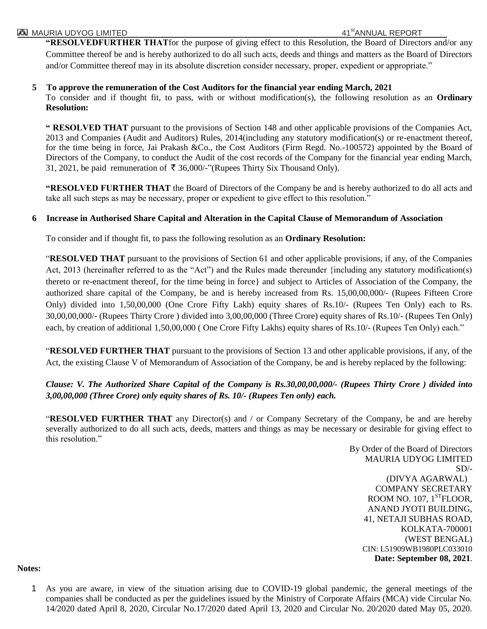#### **MAURIA UDYOG LIMITED AND SERVERT SERVERT AND ALL STANDARD AND ALL STANDARD AND ALL STANDARD AND SERVERT AND AN**

**"RESOLVEDFURTHER THAT**for the purpose of giving effect to this Resolution, the Board of Directors and/or any Committee thereof be and is hereby authorized to do all such acts, deeds and things and matters as the Board of Directors and/or Committee thereof may in its absolute discretion consider necessary, proper, expedient or appropriate."

#### **5 To approve the remuneration of the Cost Auditors for the financial year ending March, 2021**

To consider and if thought fit, to pass, with or without modification(s), the following resolution as an **Ordinary Resolution:**

**" RESOLVED THAT** pursuant to the provisions of Section 148 and other applicable provisions of the Companies Act, 2013 and Companies (Audit and Auditors) Rules, 2014(including any statutory modification(s) or re-enactment thereof, for the time being in force, Jai Prakash &Co., the Cost Auditors (Firm Regd. No.-100572) appointed by the Board of Directors of the Company, to conduct the Audit of the cost records of the Company for the financial year ending March, 31, 2021, be paid remuneration of  $\bar{\tau}$  36,000/-"(Rupees Thirty Six Thousand Only).

**"RESOLVED FURTHER THAT** the Board of Directors of the Company be and is hereby authorized to do all acts and take all such steps as may be necessary, proper or expedient to give effect to this resolution."

## **6 Increase in Authorised Share Capital and Alteration in the Capital Clause of Memorandum of Association**

To consider and if thought fit, to pass the following resolution as an **Ordinary Resolution:**

"**RESOLVED THAT** pursuant to the provisions of Section 61 and other applicable provisions, if any, of the Companies Act, 2013 (hereinafter referred to as the "Act") and the Rules made thereunder {including any statutory modification(s) thereto or re-enactment thereof, for the time being in force} and subject to Articles of Association of the Company, the authorized share capital of the Company, be and is hereby increased from Rs. 15,00,00,000/- (Rupees Fifteen Crore Only) divided into 1,50,00,000 (One Crore Fifty Lakh) equity shares of Rs.10/- (Rupees Ten Only) each to Rs. 30,00,00,000/- (Rupees Thirty Crore ) divided into 3,00,00,000 (Three Crore) equity shares of Rs.10/- (Rupees Ten Only) each, by creation of additional 1,50,00,000 (One Crore Fifty Lakhs) equity shares of Rs.10/- (Rupees Ten Only) each."

"**RESOLVED FURTHER THAT** pursuant to the provisions of Section 13 and other applicable provisions, if any, of the Act, the existing Clause V of Memorandum of Association of the Company, be and is hereby replaced by the following:

# *Clause: V. The Authorized Share Capital of the Company is Rs.30,00,00,000/- (Rupees Thirty Crore ) divided into 3,00,00,000 (Three Crore) only equity shares of Rs. 10/- (Rupees Ten only) each.*

"**RESOLVED FURTHER THAT** any Director(s) and / or Company Secretary of the Company, be and are hereby severally authorized to do all such acts, deeds, matters and things as may be necessary or desirable for giving effect to this resolution."

> By Order of the Board of Directors MAURIA UDYOG LIMITED  $SD/-$ (DIVYA AGARWAL) COMPANY SECRETARY ROOM NO.  $107$ ,  $1<sup>ST</sup>FLOOR$ , ANAND JYOTI BUILDING, 41, NETAJI SUBHAS ROAD, KOLKATA-700001 (WEST BENGAL) CIN: L51909WB1980PLC033010 **Date: September 08, 2021**.

**Notes:**

1 As you are aware, in view of the situation arising due to COVID-19 global pandemic, the general meetings of the companies shall be conducted as per the guidelines issued by the Ministry of Corporate Affairs (MCA) vide Circular No. 14/2020 dated April 8, 2020, Circular No.17/2020 dated April 13, 2020 and Circular No. 20/2020 dated May 05, 2020.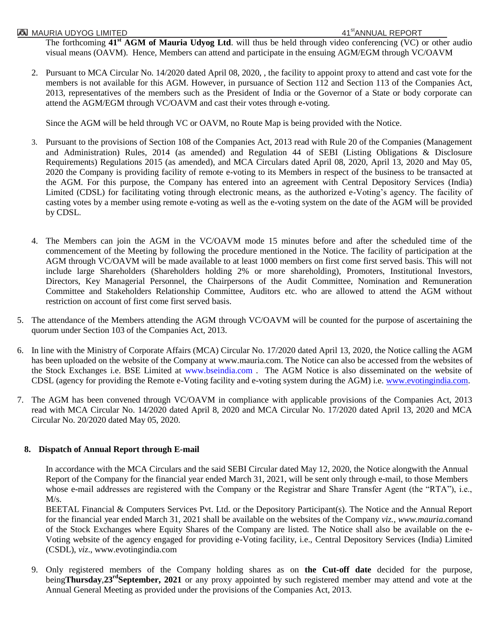The forthcoming **41st AGM of Mauria Udyog Ltd**. will thus be held through video conferencing (VC) or other audio visual means (OAVM). Hence, Members can attend and participate in the ensuing AGM/EGM through VC/OAVM

2. Pursuant to MCA Circular No. 14/2020 dated April 08, 2020, , the facility to appoint proxy to attend and cast vote for the members is not available for this AGM. However, in pursuance of Section 112 and Section 113 of the Companies Act, 2013, representatives of the members such as the President of India or the Governor of a State or body corporate can attend the AGM/EGM through VC/OAVM and cast their votes through e-voting.

Since the AGM will be held through VC or OAVM, no Route Map is being provided with the Notice.

- 3. Pursuant to the provisions of Section 108 of the Companies Act, 2013 read with Rule 20 of the Companies (Management and Administration) Rules, 2014 (as amended) and Regulation 44 of SEBI (Listing Obligations & Disclosure Requirements) Regulations 2015 (as amended), and MCA Circulars dated April 08, 2020, April 13, 2020 and May 05, 2020 the Company is providing facility of remote e-voting to its Members in respect of the business to be transacted at the AGM. For this purpose, the Company has entered into an agreement with Central Depository Services (India) Limited (CDSL) for facilitating voting through electronic means, as the authorized e-Voting"s agency. The facility of casting votes by a member using remote e-voting as well as the e-voting system on the date of the AGM will be provided by CDSL.
- 4. The Members can join the AGM in the VC/OAVM mode 15 minutes before and after the scheduled time of the commencement of the Meeting by following the procedure mentioned in the Notice. The facility of participation at the AGM through VC/OAVM will be made available to at least 1000 members on first come first served basis. This will not include large Shareholders (Shareholders holding 2% or more shareholding), Promoters, Institutional Investors, Directors, Key Managerial Personnel, the Chairpersons of the Audit Committee, Nomination and Remuneration Committee and Stakeholders Relationship Committee, Auditors etc. who are allowed to attend the AGM without restriction on account of first come first served basis.
- 5. The attendance of the Members attending the AGM through VC/OAVM will be counted for the purpose of ascertaining the quorum under Section 103 of the Companies Act, 2013.
- 6. In line with the Ministry of Corporate Affairs (MCA) Circular No. 17/2020 dated April 13, 2020, the Notice calling the AGM has been uploaded on the website of the Company at www.mauria.com. The Notice can also be accessed from the websites of the Stock Exchanges i.e. BSE Limited at www.bseindia.com . The AGM Notice is also disseminated on the website of CDSL (agency for providing the Remote e-Voting facility and e-voting system during the AGM) i.e. [www.evotingindia.com.](http://www.evotingindia.com/)
- 7. The AGM has been convened through VC/OAVM in compliance with applicable provisions of the Companies Act, 2013 read with MCA Circular No. 14/2020 dated April 8, 2020 and MCA Circular No. 17/2020 dated April 13, 2020 and MCA Circular No. 20/2020 dated May 05, 2020.

# **8. Dispatch of Annual Report through E-mail**

In accordance with the MCA Circulars and the said SEBI Circular dated May 12, 2020, the Notice alongwith the Annual Report of the Company for the financial year ended March 31, 2021, will be sent only through e-mail, to those Members whose e-mail addresses are registered with the Company or the Registrar and Share Transfer Agent (the "RTA"), i.e.,  $M/s.$ 

BEETAL Financial & Computers Services Pvt. Ltd. or the Depository Participant(s). The Notice and the Annual Report for the financial year ended March 31, 2021 shall be available on the websites of the Company *viz., www.mauria.com*and of the Stock Exchanges where Equity Shares of the Company are listed. The Notice shall also be available on the e-Voting website of the agency engaged for providing e-Voting facility, i.e., Central Depository Services (India) Limited (CSDL), *viz*., www.evotingindia.com

9. Only registered members of the Company holding shares as on **the Cut-off date** decided for the purpose, being**Thursday,23<sup>rd</sup>September, 2021** or any proxy appointed by such registered member may attend and vote at the Annual General Meeting as provided under the provisions of the Companies Act, 2013.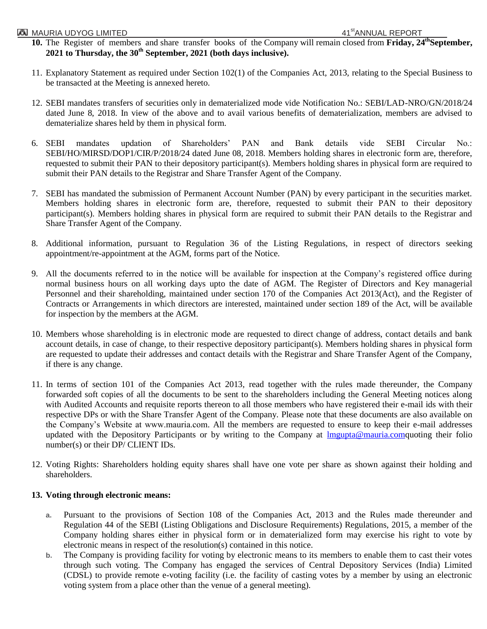#### **MAURIA UDYOG LIMITED AND SERVERTHER AND SERVERTHER AND ALL STANDARD AT STANDARD AT STANDARD AND SERVERTHER AND**

- 10. The Register of members and share transfer books of the Company will remain closed from **Friday**, 24<sup>th</sup>September, **2021 to Thursday, the 30 th September, 2021 (both days inclusive).**
- 11. Explanatory Statement as required under Section 102(1) of the Companies Act, 2013, relating to the Special Business to be transacted at the Meeting is annexed hereto.
- 12. SEBI mandates transfers of securities only in dematerialized mode vide Notification No.: SEBI/LAD-NRO/GN/2018/24 dated June 8, 2018. In view of the above and to avail various benefits of dematerialization, members are advised to dematerialize shares held by them in physical form.
- 6. SEBI mandates updation of Shareholders" PAN and Bank details vide SEBI Circular No.: SEBI/HO/MIRSD/DOP1/CIR/P/2018/24 dated June 08, 2018. Members holding shares in electronic form are, therefore, requested to submit their PAN to their depository participant(s). Members holding shares in physical form are required to submit their PAN details to the Registrar and Share Transfer Agent of the Company.
- 7. SEBI has mandated the submission of Permanent Account Number (PAN) by every participant in the securities market. Members holding shares in electronic form are, therefore, requested to submit their PAN to their depository participant(s). Members holding shares in physical form are required to submit their PAN details to the Registrar and Share Transfer Agent of the Company.
- 8. Additional information, pursuant to Regulation 36 of the Listing Regulations, in respect of directors seeking appointment/re-appointment at the AGM, forms part of the Notice.
- 9. All the documents referred to in the notice will be available for inspection at the Company"s registered office during normal business hours on all working days upto the date of AGM. The Register of Directors and Key managerial Personnel and their shareholding, maintained under section 170 of the Companies Act 2013(Act), and the Register of Contracts or Arrangements in which directors are interested, maintained under section 189 of the Act, will be available for inspection by the members at the AGM.
- 10. Members whose shareholding is in electronic mode are requested to direct change of address, contact details and bank account details, in case of change, to their respective depository participant(s). Members holding shares in physical form are requested to update their addresses and contact details with the Registrar and Share Transfer Agent of the Company, if there is any change.
- 11. In terms of section 101 of the Companies Act 2013, read together with the rules made thereunder, the Company forwarded soft copies of all the documents to be sent to the shareholders including the General Meeting notices along with Audited Accounts and requisite reports thereon to all those members who have registered their e-mail ids with their respective DPs or with the Share Transfer Agent of the Company. Please note that these documents are also available on the Company"s Website at www.mauria.com. All the members are requested to ensure to keep their e-mail addresses updated with the Depository Participants or by writing to the Company at Impupta@mauria.comquoting their folio number(s) or their DP/ CLIENT IDs.
- 12. Voting Rights: Shareholders holding equity shares shall have one vote per share as shown against their holding and shareholders.

## **13. Voting through electronic means:**

- **a.** Pursuant to the provisions of Section 108 of the Companies Act, 2013 and the Rules made thereunder and Regulation 44 of the SEBI (Listing Obligations and Disclosure Requirements) Regulations, 2015, a member of the Company holding shares either in physical form or in dematerialized form may exercise his right to vote by electronic means in respect of the resolution(s) contained in this notice.
- **b.** The Company is providing facility for voting by electronic means to its members to enable them to cast their votes through such voting. The Company has engaged the services of Central Depository Services (India) Limited (CDSL) to provide remote e-voting facility (i.e. the facility of casting votes by a member by using an electronic voting system from a place other than the venue of a general meeting).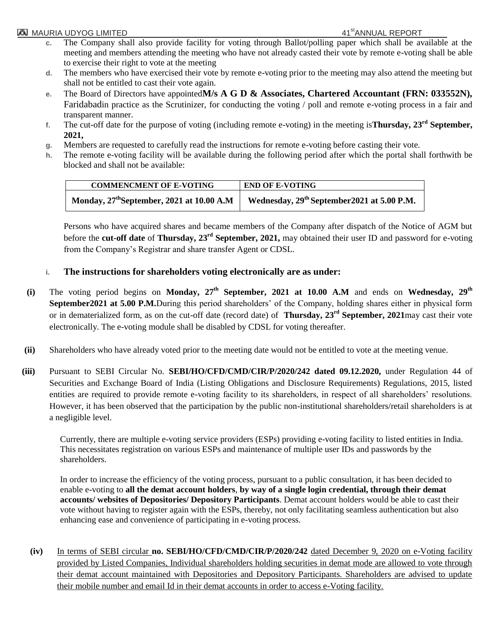## **MAURIA UDYOG LIMITED AND SERVERT REPORT AND ALL STANDARD AND ALL STANDARD AND ALL STANDARD AND ANN**

- **c.** The Company shall also provide facility for voting through Ballot/polling paper which shall be available at the meeting and members attending the meeting who have not already casted their vote by remote e-voting shall be able to exercise their right to vote at the meeting
- **d.** The members who have exercised their vote by remote e-voting prior to the meeting may also attend the meeting but shall not be entitled to cast their vote again.
- **e.** The Board of Directors have appointed**M/s A G D & Associates, Chartered Accountant (FRN: 033552N),** Faridabadin practice as the Scrutinizer, for conducting the voting / poll and remote e-voting process in a fair and transparent manner.
- **f.** The cut-off date for the purpose of voting (including remote e-voting) in the meeting is**Thursday, 23 rd September, 2021,**
- **g.** Members are requested to carefully read the instructions for remote e-voting before casting their vote.
- **h.** The remote e-voting facility will be available during the following period after which the portal shall forthwith be blocked and shall not be available:

| <b>COMMENCMENT OF E-VOTING</b>                        | <b>END OF E-VOTING</b>                                  |
|-------------------------------------------------------|---------------------------------------------------------|
| Monday, $27^{\text{th}}$ September, 2021 at 10.00 A.M | Wednesday, 29 <sup>th</sup> September 2021 at 5.00 P.M. |

Persons who have acquired shares and became members of the Company after dispatch of the Notice of AGM but before the **cut-off date** of **Thursday, 23 rd September, 2021,** may obtained their user ID and password for e-voting from the Company"s Registrar and share transfer Agent or CDSL.

# **i. The instructions for shareholders voting electronically are as under:**

- (i) The voting period begins on Monday, 27<sup>th</sup> September, 2021 at 10.00 A.M and ends on Wednesday, 29<sup>th</sup> **September2021 at 5.00 P.M.**During this period shareholders' of the Company, holding shares either in physical form or in dematerialized form, as on the cut-off date (record date) of **Thursday, 23 rd September, 2021**may cast their vote electronically. The e-voting module shall be disabled by CDSL for voting thereafter.
- **(ii)** Shareholders who have already voted prior to the meeting date would not be entitled to vote at the meeting venue.
- **(iii)** Pursuant to SEBI Circular No. **SEBI/HO/CFD/CMD/CIR/P/2020/242 dated 09.12.2020,** under Regulation 44 of Securities and Exchange Board of India (Listing Obligations and Disclosure Requirements) Regulations, 2015, listed entities are required to provide remote e-voting facility to its shareholders, in respect of all shareholders" resolutions. However, it has been observed that the participation by the public non-institutional shareholders/retail shareholders is at a negligible level.

Currently, there are multiple e-voting service providers (ESPs) providing e-voting facility to listed entities in India. This necessitates registration on various ESPs and maintenance of multiple user IDs and passwords by the shareholders.

In order to increase the efficiency of the voting process, pursuant to a public consultation, it has been decided to enable e-voting to **all the demat account holders**, **by way of a single login credential, through their demat accounts/ websites of Depositories/ Depository Participants**. Demat account holders would be able to cast their vote without having to register again with the ESPs, thereby, not only facilitating seamless authentication but also enhancing ease and convenience of participating in e-voting process.

**(iv)** In terms of SEBI circular **no. SEBI/HO/CFD/CMD/CIR/P/2020/242** dated December 9, 2020 on e-Voting facility provided by Listed Companies, Individual shareholders holding securities in demat mode are allowed to vote through their demat account maintained with Depositories and Depository Participants. Shareholders are advised to update their mobile number and email Id in their demat accounts in order to access e-Voting facility.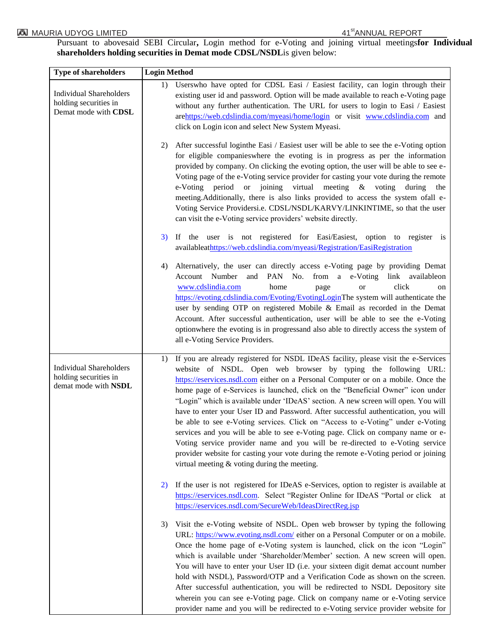Pursuant to abovesaid SEBI Circular**,** Login method for e-Voting and joining virtual meetings**for Individual shareholders holding securities in Demat mode CDSL/NSDL**is given below:

| <b>Type of shareholders</b>                                                     | <b>Login Method</b>                                                                                                                                                                                                                                                                                                                                                                                                                                                                                                                                                                                                                                                                                                                                                                                                                                                                                          |  |  |  |
|---------------------------------------------------------------------------------|--------------------------------------------------------------------------------------------------------------------------------------------------------------------------------------------------------------------------------------------------------------------------------------------------------------------------------------------------------------------------------------------------------------------------------------------------------------------------------------------------------------------------------------------------------------------------------------------------------------------------------------------------------------------------------------------------------------------------------------------------------------------------------------------------------------------------------------------------------------------------------------------------------------|--|--|--|
| <b>Individual Shareholders</b><br>holding securities in<br>Demat mode with CDSL | Userswho have opted for CDSL Easi / Easiest facility, can login through their<br>1)<br>existing user id and password. Option will be made available to reach e-Voting page<br>without any further authentication. The URL for users to login to Easi / Easiest<br>arehttps://web.cdslindia.com/myeasi/home/login or visit www.cdslindia.com and<br>click on Login icon and select New System Myeasi.                                                                                                                                                                                                                                                                                                                                                                                                                                                                                                         |  |  |  |
|                                                                                 | After successful loginthe Easi / Easiest user will be able to see the e-Voting option<br>2)<br>for eligible companies where the evoting is in progress as per the information<br>provided by company. On clicking the evoting option, the user will be able to see e-<br>Voting page of the e-Voting service provider for casting your vote during the remote<br>e-Voting period or joining virtual meeting & voting during<br>the<br>meeting. Additionally, there is also links provided to access the system ofall e-<br>Voting Service Providersi.e. CDSL/NSDL/KARVY/LINKINTIME, so that the user<br>can visit the e-Voting service providers' website directly.                                                                                                                                                                                                                                          |  |  |  |
|                                                                                 | If the user is not registered for Easi/Easiest, option to register is<br>3)<br>availableathttps://web.cdslindia.com/myeasi/Registration/EasiRegistration                                                                                                                                                                                                                                                                                                                                                                                                                                                                                                                                                                                                                                                                                                                                                     |  |  |  |
|                                                                                 | Alternatively, the user can directly access e-Voting page by providing Demat<br>4)<br>Account Number<br>and<br>PAN No.<br>from a e-Voting link availableon<br>click<br>www.cdslindia.com<br>home<br>or<br>page<br>on<br>https://evoting.cdslindia.com/Evoting/EvotingLoginThe system will authenticate the<br>user by sending OTP on registered Mobile & Email as recorded in the Demat<br>Account. After successful authentication, user will be able to see the e-Voting<br>optionwhere the evoting is in progressand also able to directly access the system of<br>all e-Voting Service Providers.                                                                                                                                                                                                                                                                                                        |  |  |  |
| <b>Individual Shareholders</b><br>holding securities in<br>demat mode with NSDL | If you are already registered for NSDL IDeAS facility, please visit the e-Services<br>1)<br>website of NSDL. Open web browser by typing the following URL:<br>https://eservices.nsdl.com either on a Personal Computer or on a mobile. Once the<br>home page of e-Services is launched, click on the "Beneficial Owner" icon under<br>"Login" which is available under 'IDeAS' section. A new screen will open. You will<br>have to enter your User ID and Password. After successful authentication, you will<br>be able to see e-Voting services. Click on "Access to e-Voting" under e-Voting<br>services and you will be able to see e-Voting page. Click on company name or e-<br>Voting service provider name and you will be re-directed to e-Voting service<br>provider website for casting your vote during the remote e-Voting period or joining<br>virtual meeting $&$ voting during the meeting. |  |  |  |
|                                                                                 | If the user is not registered for IDeAS e-Services, option to register is available at<br>2)<br>https://eservices.nsdl.com. Select "Register Online for IDeAS "Portal or click at<br>https://eservices.nsdl.com/SecureWeb/IdeasDirectReg.jsp                                                                                                                                                                                                                                                                                                                                                                                                                                                                                                                                                                                                                                                                 |  |  |  |
|                                                                                 | Visit the e-Voting website of NSDL. Open web browser by typing the following<br>3)<br>URL: https://www.evoting.nsdl.com/ either on a Personal Computer or on a mobile.<br>Once the home page of e-Voting system is launched, click on the icon "Login"<br>which is available under 'Shareholder/Member' section. A new screen will open.<br>You will have to enter your User ID (i.e. your sixteen digit demat account number<br>hold with NSDL), Password/OTP and a Verification Code as shown on the screen.<br>After successful authentication, you will be redirected to NSDL Depository site<br>wherein you can see e-Voting page. Click on company name or e-Voting service<br>provider name and you will be redirected to e-Voting service provider website for                                                                                                                                       |  |  |  |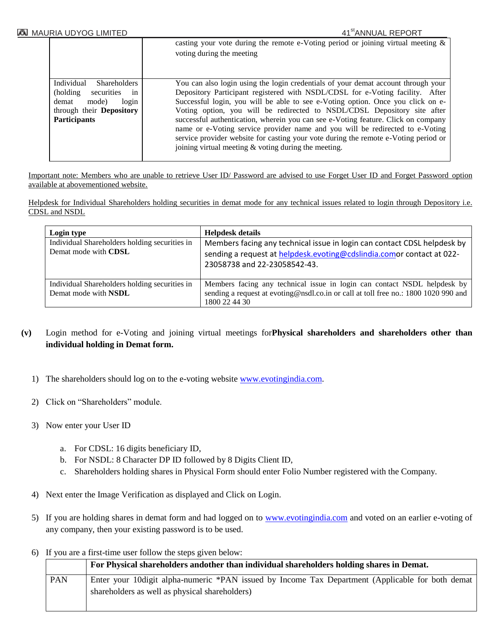|                                           | casting your vote during the remote e-Voting period or joining virtual meeting $\&$<br>voting during the meeting                                                                                                                                                                                                     |
|-------------------------------------------|----------------------------------------------------------------------------------------------------------------------------------------------------------------------------------------------------------------------------------------------------------------------------------------------------------------------|
| Individual<br><b>Shareholders</b>         | You can also login using the login credentials of your demat account through your                                                                                                                                                                                                                                    |
| securities<br>(holding)<br><sub>1</sub> n | Depository Participant registered with NSDL/CDSL for e-Voting facility. After                                                                                                                                                                                                                                        |
| mode)<br>login<br>demat                   | Successful login, you will be able to see e-Voting option. Once you click on e-                                                                                                                                                                                                                                      |
| through their <b>Depository</b>           | Voting option, you will be redirected to NSDL/CDSL Depository site after                                                                                                                                                                                                                                             |
| <b>Participants</b>                       | successful authentication, wherein you can see e-Voting feature. Click on company<br>name or e-Voting service provider name and you will be redirected to e-Voting<br>service provider website for casting your vote during the remote e-Voting period or<br>joining virtual meeting $\&$ voting during the meeting. |

Important note: Members who are unable to retrieve User ID/ Password are advised to use Forget User ID and Forget Password option available at abovementioned website.

Helpdesk for Individual Shareholders holding securities in demat mode for any technical issues related to login through Depository i.e. CDSL and NSDL

| Login type                                                            | <b>Helpdesk details</b>                                                                                                                                                           |
|-----------------------------------------------------------------------|-----------------------------------------------------------------------------------------------------------------------------------------------------------------------------------|
| Individual Shareholders holding securities in<br>Demat mode with CDSL | Members facing any technical issue in login can contact CDSL helpdesk by<br>sending a request at helpdesk.evoting@cdslindia.comor contact at 022-<br>23058738 and 22-23058542-43. |
| Individual Shareholders holding securities in<br>Demat mode with NSDL | Members facing any technical issue in login can contact NSDL helpdesk by<br>sending a request at evoting@nsdl.co.in or call at toll free no.: 1800 1020 990 and<br>1800 22 44 30  |

- **(v)** Login method for e-Voting and joining virtual meetings for**Physical shareholders and shareholders other than individual holding in Demat form.**
	- 1) The shareholders should log on to the e-voting websit[e www.evotingindia.com.](http://www.evotingindia.com/)
	- 2) Click on "Shareholders" module.
	- 3) Now enter your User ID
		- a. For CDSL: 16 digits beneficiary ID,
		- b. For NSDL: 8 Character DP ID followed by 8 Digits Client ID,
		- c. Shareholders holding shares in Physical Form should enter Folio Number registered with the Company.
	- 4) Next enter the Image Verification as displayed and Click on Login.
	- 5) If you are holding shares in demat form and had logged on to [www.evotingindia.com](http://www.evotingindia.com/) and voted on an earlier e-voting of any company, then your existing password is to be used.
	- 6) If you are a first-time user follow the steps given below:

|            | For Physical shareholders and other than individual shareholders holding shares in Demat.                                                           |
|------------|-----------------------------------------------------------------------------------------------------------------------------------------------------|
| <b>PAN</b> | Enter your 10 digit alpha-numeric *PAN issued by Income Tax Department (Applicable for both demat<br>shareholders as well as physical shareholders) |
|            |                                                                                                                                                     |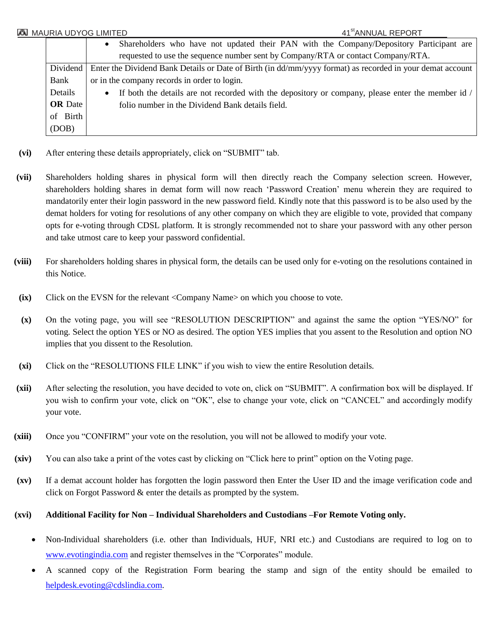|                | 41 <sup>st</sup> ANNUAL REPORT<br>MAURIA UDYOG LIMITED                                                         |
|----------------|----------------------------------------------------------------------------------------------------------------|
|                | Shareholders who have not updated their PAN with the Company/Depository Participant are<br>$\bullet$           |
|                | requested to use the sequence number sent by Company/RTA or contact Company/RTA.                               |
| Dividend       | Enter the Dividend Bank Details or Date of Birth (in dd/mm/yyyy format) as recorded in your demat account      |
| Bank           | or in the company records in order to login.                                                                   |
| Details        | If both the details are not recorded with the depository or company, please enter the member id /<br>$\bullet$ |
| <b>OR</b> Date | folio number in the Dividend Bank details field.                                                               |
| of Birth       |                                                                                                                |
| (DOB)          |                                                                                                                |

- **(vi)** After entering these details appropriately, click on "SUBMIT" tab.
- **(vii)** Shareholders holding shares in physical form will then directly reach the Company selection screen. However, shareholders holding shares in demat form will now reach "Password Creation" menu wherein they are required to mandatorily enter their login password in the new password field. Kindly note that this password is to be also used by the demat holders for voting for resolutions of any other company on which they are eligible to vote, provided that company opts for e-voting through CDSL platform. It is strongly recommended not to share your password with any other person and take utmost care to keep your password confidential.
- **(viii)** For shareholders holding shares in physical form, the details can be used only for e-voting on the resolutions contained in this Notice.
- **(ix)** Click on the EVSN for the relevant <Company Name> on which you choose to vote.
- **(x)** On the voting page, you will see "RESOLUTION DESCRIPTION" and against the same the option "YES/NO" for voting. Select the option YES or NO as desired. The option YES implies that you assent to the Resolution and option NO implies that you dissent to the Resolution.
- **(xi)** Click on the "RESOLUTIONS FILE LINK" if you wish to view the entire Resolution details.
- **(xii)** After selecting the resolution, you have decided to vote on, click on "SUBMIT". A confirmation box will be displayed. If you wish to confirm your vote, click on "OK", else to change your vote, click on "CANCEL" and accordingly modify your vote.
- **(xiii)** Once you "CONFIRM" your vote on the resolution, you will not be allowed to modify your vote.
- **(xiv)** You can also take a print of the votes cast by clicking on "Click here to print" option on the Voting page.
- **(xv)** If a demat account holder has forgotten the login password then Enter the User ID and the image verification code and click on Forgot Password & enter the details as prompted by the system.

## **(xvi) Additional Facility for Non – Individual Shareholders and Custodians –For Remote Voting only.**

- Non-Individual shareholders (i.e. other than Individuals, HUF, NRI etc.) and Custodians are required to log on to [www.evotingindia.com](http://www.evotingindia.com/) and register themselves in the "Corporates" module.
- A scanned copy of the Registration Form bearing the stamp and sign of the entity should be emailed to [helpdesk.evoting@cdslindia.com.](mailto:helpdesk.evoting@cdslindia.com)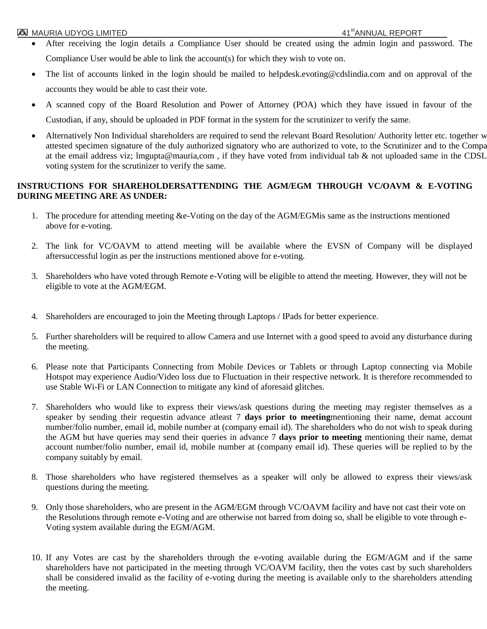- After receiving the login details a Compliance User should be created using the admin login and password. The Compliance User would be able to link the account(s) for which they wish to vote on.
- The list of accounts linked in the login should be mailed to helpdesk.evoting@cdslindia.com and on approval of the accounts they would be able to cast their vote.
- A scanned copy of the Board Resolution and Power of Attorney (POA) which they have issued in favour of the Custodian, if any, should be uploaded in PDF format in the system for the scrutinizer to verify the same.
- Alternatively Non Individual shareholders are required to send the relevant Board Resolution/Authority letter etc. together w attested specimen signature of the duly authorized signatory who are authorized to vote, to the Scrutinizer and to the Compa at the email address viz; lmgupta@mauria,com, if they have voted from individual tab & not uploaded same in the CDSL voting system for the scrutinizer to verify the same.

# **INSTRUCTIONS FOR SHAREHOLDERSATTENDING THE AGM/EGM THROUGH VC/OAVM & E-VOTING DURING MEETING ARE AS UNDER:**

- 1. The procedure for attending meeting &e-Voting on the day of the AGM/EGMis same as the instructions mentioned above for e-voting.
- 2. The link for VC/OAVM to attend meeting will be available where the EVSN of Company will be displayed aftersuccessful login as per the instructions mentioned above for e-voting.
- 3. Shareholders who have voted through Remote e-Voting will be eligible to attend the meeting. However, they will not be eligible to vote at the AGM/EGM.
- 4. Shareholders are encouraged to join the Meeting through Laptops / IPads for better experience.
- 5. Further shareholders will be required to allow Camera and use Internet with a good speed to avoid any disturbance during the meeting.
- 6. Please note that Participants Connecting from Mobile Devices or Tablets or through Laptop connecting via Mobile Hotspot may experience Audio/Video loss due to Fluctuation in their respective network. It is therefore recommended to use Stable Wi-Fi or LAN Connection to mitigate any kind of aforesaid glitches.
- 7. Shareholders who would like to express their views/ask questions during the meeting may register themselves as a speaker by sending their requestin advance atleast 7 **days prior to meeting**mentioning their name, demat account number/folio number, email id, mobile number at (company email id). The shareholders who do not wish to speak during the AGM but have queries may send their queries in advance 7 **days prior to meeting** mentioning their name, demat account number/folio number, email id, mobile number at (company email id). These queries will be replied to by the company suitably by email.
- 8. Those shareholders who have registered themselves as a speaker will only be allowed to express their views/ask questions during the meeting.
- 9. Only those shareholders, who are present in the AGM/EGM through VC/OAVM facility and have not cast their vote on the Resolutions through remote e-Voting and are otherwise not barred from doing so, shall be eligible to vote through e-Voting system available during the EGM/AGM.
- 10. If any Votes are cast by the shareholders through the e-voting available during the EGM/AGM and if the same shareholders have not participated in the meeting through VC/OAVM facility, then the votes cast by such shareholders shall be considered invalid as the facility of e-voting during the meeting is available only to the shareholders attending the meeting.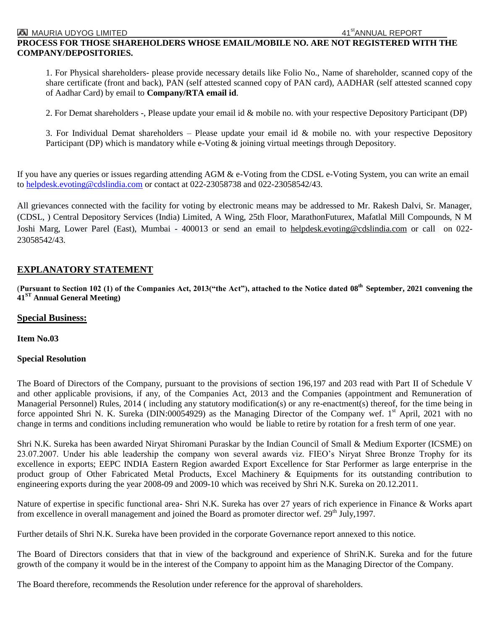## **PROCESS FOR THOSE SHAREHOLDERS WHOSE EMAIL/MOBILE NO. ARE NOT REGISTERED WITH THE COMPANY/DEPOSITORIES.**

1. For Physical shareholders- please provide necessary details like Folio No., Name of shareholder, scanned copy of the share certificate (front and back), PAN (self attested scanned copy of PAN card), AADHAR (self attested scanned copy of Aadhar Card) by email to **Company/RTA email id**.

2. For Demat shareholders -, Please update your email id & mobile no. with your respective Depository Participant (DP)

3. For Individual Demat shareholders – Please update your email id  $&$  mobile no. with your respective Depository Participant (DP) which is mandatory while e-Voting & joining virtual meetings through Depository.

If you have any queries or issues regarding attending AGM & e-Voting from the CDSL e-Voting System, you can write an email to [helpdesk.evoting@cdslindia.com](mailto:helpdesk.evoting@cdslindia.com) or contact at 022-23058738 and 022-23058542/43.

All grievances connected with the facility for voting by electronic means may be addressed to Mr. Rakesh Dalvi, Sr. Manager, (CDSL, ) Central Depository Services (India) Limited, A Wing, 25th Floor, MarathonFuturex, Mafatlal Mill Compounds, N M Joshi Marg, Lower Parel (East), Mumbai - 400013 or send an email to [helpdesk.evoting@cdslindia.com](mailto:helpdesk.evoting@cdslindia.com) or call on 022- 23058542/43.

## **EXPLANATORY STATEMENT**

(**Pursuant to Section 102 (1) of the Companies Act, 2013("the Act"), attached to the Notice dated 08 th September, 2021 convening the 41 ST Annual General Meeting)**

#### **Special Business:**

**Item No.03**

#### **Special Resolution**

The Board of Directors of the Company, pursuant to the provisions of section 196,197 and 203 read with Part II of Schedule V and other applicable provisions, if any, of the Companies Act, 2013 and the Companies (appointment and Remuneration of Managerial Personnel) Rules, 2014 ( including any statutory modification(s) or any re-enactment(s) thereof, for the time being in force appointed Shri N. K. Sureka (DIN:00054929) as the Managing Director of the Company wef. 1<sup>st</sup> April, 2021 with no change in terms and conditions including remuneration who would be liable to retire by rotation for a fresh term of one year.

Shri N.K. Sureka has been awarded Niryat Shiromani Puraskar by the Indian Council of Small & Medium Exporter (ICSME) on 23.07.2007. Under his able leadership the company won several awards viz. FIEO"s Niryat Shree Bronze Trophy for its excellence in exports; EEPC INDIA Eastern Region awarded Export Excellence for Star Performer as large enterprise in the product group of Other Fabricated Metal Products, Excel Machinery & Equipments for its outstanding contribution to engineering exports during the year 2008-09 and 2009-10 which was received by Shri N.K. Sureka on 20.12.2011.

Nature of expertise in specific functional area- Shri N.K. Sureka has over 27 years of rich experience in Finance & Works apart from excellence in overall management and joined the Board as promoter director wef. 29<sup>th</sup> July,1997.

Further details of Shri N.K. Sureka have been provided in the corporate Governance report annexed to this notice.

The Board of Directors considers that that in view of the background and experience of ShriN.K. Sureka and for the future growth of the company it would be in the interest of the Company to appoint him as the Managing Director of the Company.

The Board therefore, recommends the Resolution under reference for the approval of shareholders.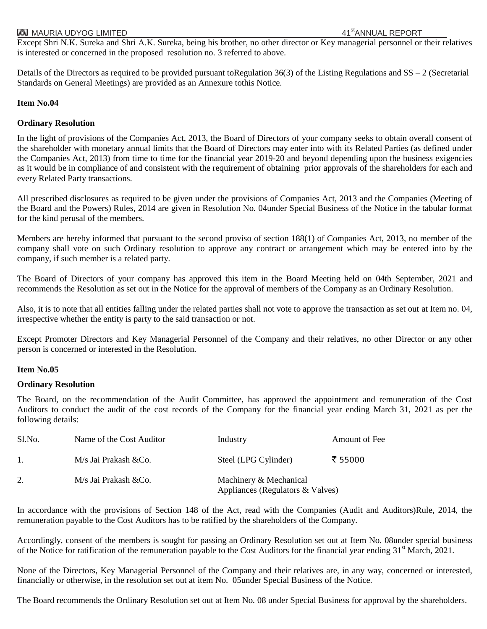Except Shri N.K. Sureka and Shri A.K. Sureka, being his brother, no other director or Key managerial personnel or their relatives is interested or concerned in the proposed resolution no. 3 referred to above.

Details of the Directors as required to be provided pursuant toRegulation  $36(3)$  of the Listing Regulations and  $SS - 2$  (Secretarial Standards on General Meetings) are provided as an Annexure tothis Notice.

## **Item No.04**

#### **Ordinary Resolution**

In the light of provisions of the Companies Act, 2013, the Board of Directors of your company seeks to obtain overall consent of the shareholder with monetary annual limits that the Board of Directors may enter into with its Related Parties (as defined under the Companies Act, 2013) from time to time for the financial year 2019-20 and beyond depending upon the business exigencies as it would be in compliance of and consistent with the requirement of obtaining prior approvals of the shareholders for each and every Related Party transactions.

All prescribed disclosures as required to be given under the provisions of Companies Act, 2013 and the Companies (Meeting of the Board and the Powers) Rules, 2014 are given in Resolution No. 04under Special Business of the Notice in the tabular format for the kind perusal of the members.

Members are hereby informed that pursuant to the second proviso of section 188(1) of Companies Act, 2013, no member of the company shall vote on such Ordinary resolution to approve any contract or arrangement which may be entered into by the company, if such member is a related party.

The Board of Directors of your company has approved this item in the Board Meeting held on 04th September, 2021 and recommends the Resolution as set out in the Notice for the approval of members of the Company as an Ordinary Resolution.

Also, it is to note that all entities falling under the related parties shall not vote to approve the transaction as set out at Item no. 04, irrespective whether the entity is party to the said transaction or not.

Except Promoter Directors and Key Managerial Personnel of the Company and their relatives, no other Director or any other person is concerned or interested in the Resolution.

## **Item No.05**

## **Ordinary Resolution**

The Board, on the recommendation of the Audit Committee, has approved the appointment and remuneration of the Cost Auditors to conduct the audit of the cost records of the Company for the financial year ending March 31, 2021 as per the following details:

| Sl.No. | Name of the Cost Auditor | Industry                                                   | Amount of Fee |
|--------|--------------------------|------------------------------------------------------------|---------------|
|        | M/s Jai Prakash & Co.    | Steel (LPG Cylinder)                                       | ₹ 55000       |
| 2.     | M/s Jai Prakash & Co.    | Machinery & Mechanical<br>Appliances (Regulators & Valves) |               |

In accordance with the provisions of Section 148 of the Act, read with the Companies (Audit and Auditors)Rule, 2014, the remuneration payable to the Cost Auditors has to be ratified by the shareholders of the Company.

Accordingly, consent of the members is sought for passing an Ordinary Resolution set out at Item No. 08under special business of the Notice for ratification of the remuneration payable to the Cost Auditors for the financial year ending 31<sup>st</sup> March, 2021.

None of the Directors, Key Managerial Personnel of the Company and their relatives are, in any way, concerned or interested, financially or otherwise, in the resolution set out at item No. 05under Special Business of the Notice.

The Board recommends the Ordinary Resolution set out at Item No. 08 under Special Business for approval by the shareholders.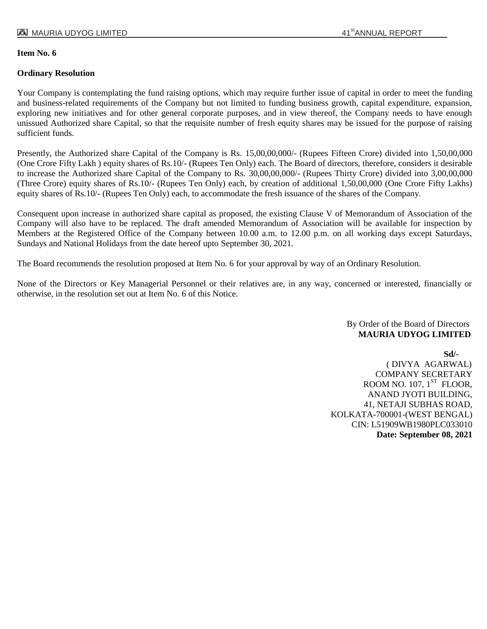## **Item No. 6**

## **Ordinary Resolution**

Your Company is contemplating the fund raising options, which may require further issue of capital in order to meet the funding and business-related requirements of the Company but not limited to funding business growth, capital expenditure, expansion, exploring new initiatives and for other general corporate purposes, and in view thereof, the Company needs to have enough unissued Authorized share Capital, so that the requisite number of fresh equity shares may be issued for the purpose of raising sufficient funds.

Presently, the Authorized share Capital of the Company is Rs. 15,00,00,000/- (Rupees Fifteen Crore) divided into 1,50,00,000 (One Crore Fifty Lakh ) equity shares of Rs.10/- (Rupees Ten Only) each. The Board of directors, therefore, considers it desirable to increase the Authorized share Capital of the Company to Rs. 30,00,00,000/- (Rupees Thirty Crore) divided into 3,00,00,000 (Three Crore) equity shares of Rs.10/- (Rupees Ten Only) each, by creation of additional 1,50,00,000 (One Crore Fifty Lakhs) equity shares of Rs.10/- (Rupees Ten Only) each, to accommodate the fresh issuance of the shares of the Company.

Consequent upon increase in authorized share capital as proposed, the existing Clause V of Memorandum of Association of the Company will also have to be replaced. The draft amended Memorandum of Association will be available for inspection by Members at the Registered Office of the Company between 10.00 a.m. to 12.00 p.m. on all working days except Saturdays, Sundays and National Holidays from the date hereof upto September 30, 2021.

The Board recommends the resolution proposed at Item No. 6 for your approval by way of an Ordinary Resolution.

None of the Directors or Key Managerial Personnel or their relatives are, in any way, concerned or interested, financially or otherwise, in the resolution set out at Item No. 6 of this Notice.

> By Order of the Board of Directors **MAURIA UDYOG LIMITED**

**Sd/-** ( DIVYA AGARWAL) COMPANY SECRETARY ROOM NO.  $107, 1^\text{ST}$  FLOOR, ANAND JYOTI BUILDING, 41, NETAJI SUBHAS ROAD, KOLKATA-700001-(WEST BENGAL) CIN: L51909WB1980PLC033010 **Date: September 08, 2021**